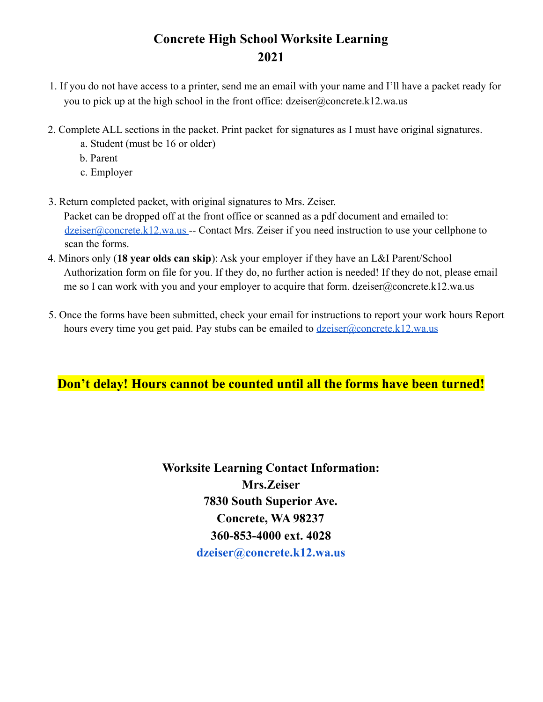# **Concrete High School Worksite Learning 2021**

- 1. If you do not have access to a printer, send me an email with your name and I'll have a packet ready for you to pick up at the high school in the front office: dzeiser@concrete.k12.wa.us
- 2. Complete ALL sections in the packet. Print packet for signatures as I must have original signatures.
	- a. Student (must be 16 or older)
	- b. Parent
	- c. Employer
- 3. Return completed packet, with original signatures to Mrs. Zeiser. Packet can be dropped off at the front office or scanned as a pdf document and emailed to: dzeiser@concrete.k12.wa.us -- Contact Mrs. Zeiser if you need instruction to use your cellphone to scan the forms.
- 4. Minors only (**18 year olds can skip**): Ask your employer if they have an L&I Parent/School Authorization form on file for you. If they do, no further action is needed! If they do not, please email me so I can work with you and your employer to acquire that form. dzeiser@concrete.k12.wa.us
- 5. Once the forms have been submitted, check your email for instructions to report your work hours Report hours every time you get paid. Pay stubs can be emailed to  $dzeiser@concrete.k12.wa.us$

## **Don't delay! Hours cannot be counted until all the forms have been turned!**

**Worksite Learning Contact Information: Mrs.Zeiser 7830 South Superior Ave. Concrete, WA 98237 360-853-4000 ext. 4028 dzeiser@concrete.k12.wa.us**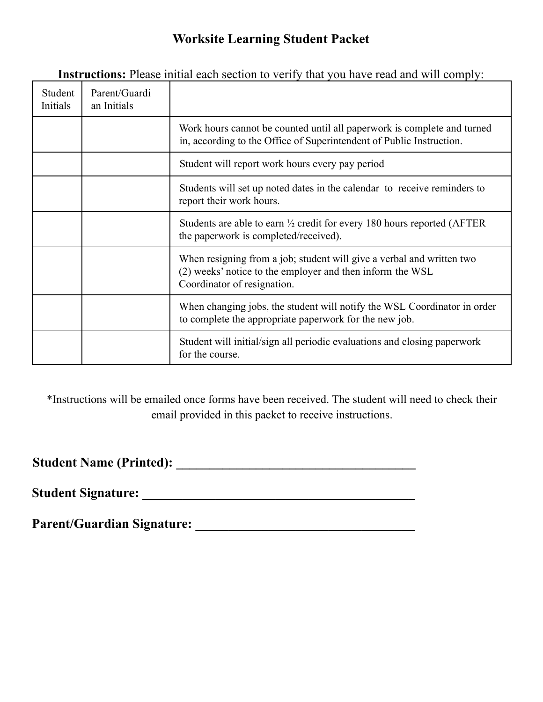# **Worksite Learning Student Packet**

| Student<br>Initials | Parent/Guardi<br>an Initials |                                                                                                                                                                   |
|---------------------|------------------------------|-------------------------------------------------------------------------------------------------------------------------------------------------------------------|
|                     |                              | Work hours cannot be counted until all paperwork is complete and turned<br>in, according to the Office of Superintendent of Public Instruction.                   |
|                     |                              | Student will report work hours every pay period                                                                                                                   |
|                     |                              | Students will set up noted dates in the calendar to receive reminders to<br>report their work hours.                                                              |
|                     |                              | Students are able to earn $\frac{1}{2}$ credit for every 180 hours reported (AFTER<br>the paperwork is completed/received).                                       |
|                     |                              | When resigning from a job; student will give a verbal and written two<br>(2) weeks' notice to the employer and then inform the WSL<br>Coordinator of resignation. |
|                     |                              | When changing jobs, the student will notify the WSL Coordinator in order<br>to complete the appropriate paperwork for the new job.                                |
|                     |                              | Student will initial/sign all periodic evaluations and closing paperwork<br>for the course.                                                                       |

**Instructions:** Please initial each section to verify that you have read and will comply:

\*Instructions will be emailed once forms have been received. The student will need to check their email provided in this packet to receive instructions.

**Student Name (Printed): \_\_\_\_\_\_\_\_\_\_\_\_\_\_\_\_\_\_\_\_\_\_\_\_\_\_\_\_\_\_\_\_\_\_\_\_**

**Student Signature: \_\_\_\_\_\_\_\_\_\_\_\_\_\_\_\_\_\_\_\_\_\_\_\_\_\_\_\_\_\_\_\_\_\_\_\_\_\_\_\_\_**

**Parent/Guardian Signature: \_\_\_\_\_\_\_\_\_\_\_\_\_\_\_\_\_\_\_\_\_\_\_\_\_\_\_\_\_\_\_\_\_**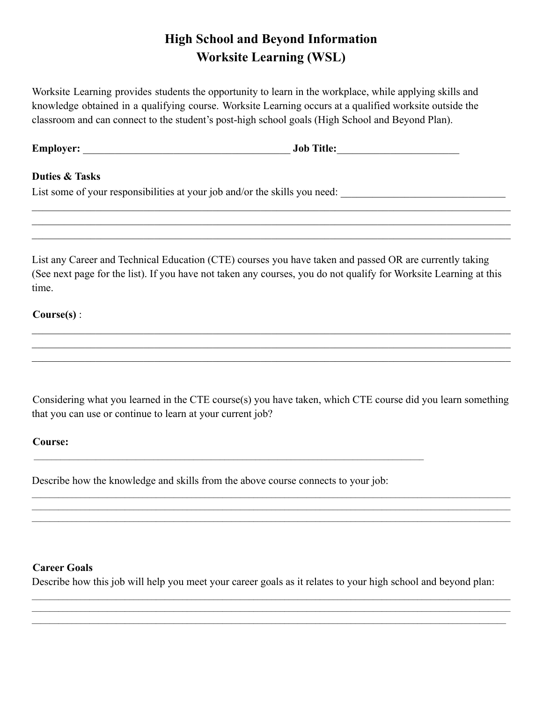# **High School and Beyond Information Worksite Learning (WSL)**

Worksite Learning provides students the opportunity to learn in the workplace, while applying skills and knowledge obtained in a qualifying course. Worksite Learning occurs at a qualified worksite outside the classroom and can connect to the student's post-high school goals (High School and Beyond Plan).

**Employer:** \_\_\_\_\_\_\_\_\_\_\_\_\_\_\_\_\_\_\_\_\_\_\_\_\_\_\_\_\_\_\_\_\_\_\_\_\_\_\_ **Job Title:**\_\_\_\_\_\_\_\_\_\_\_\_\_\_\_\_\_\_\_\_\_\_\_

## **Duties & Tasks**

List some of your responsibilities at your job and/or the skills you need:

List any Career and Technical Education (CTE) courses you have taken and passed OR are currently taking (See next page for the list). If you have not taken any courses, you do not qualify for Worksite Learning at this time.

 $\_$  , and the contribution of the contribution of the contribution of the contribution of the contribution of  $\mathcal{L}_\text{max}$  $\mathcal{L}_\mathcal{L} = \mathcal{L}_\mathcal{L} = \mathcal{L}_\mathcal{L} = \mathcal{L}_\mathcal{L} = \mathcal{L}_\mathcal{L} = \mathcal{L}_\mathcal{L} = \mathcal{L}_\mathcal{L} = \mathcal{L}_\mathcal{L} = \mathcal{L}_\mathcal{L} = \mathcal{L}_\mathcal{L} = \mathcal{L}_\mathcal{L} = \mathcal{L}_\mathcal{L} = \mathcal{L}_\mathcal{L} = \mathcal{L}_\mathcal{L} = \mathcal{L}_\mathcal{L} = \mathcal{L}_\mathcal{L} = \mathcal{L}_\mathcal{L}$  $\mathcal{L}_\mathcal{L} = \mathcal{L}_\mathcal{L} = \mathcal{L}_\mathcal{L} = \mathcal{L}_\mathcal{L} = \mathcal{L}_\mathcal{L} = \mathcal{L}_\mathcal{L} = \mathcal{L}_\mathcal{L} = \mathcal{L}_\mathcal{L} = \mathcal{L}_\mathcal{L} = \mathcal{L}_\mathcal{L} = \mathcal{L}_\mathcal{L} = \mathcal{L}_\mathcal{L} = \mathcal{L}_\mathcal{L} = \mathcal{L}_\mathcal{L} = \mathcal{L}_\mathcal{L} = \mathcal{L}_\mathcal{L} = \mathcal{L}_\mathcal{L}$ 

 $\mathcal{L}_\mathcal{L} = \mathcal{L}_\mathcal{L} = \mathcal{L}_\mathcal{L} = \mathcal{L}_\mathcal{L} = \mathcal{L}_\mathcal{L} = \mathcal{L}_\mathcal{L} = \mathcal{L}_\mathcal{L} = \mathcal{L}_\mathcal{L} = \mathcal{L}_\mathcal{L} = \mathcal{L}_\mathcal{L} = \mathcal{L}_\mathcal{L} = \mathcal{L}_\mathcal{L} = \mathcal{L}_\mathcal{L} = \mathcal{L}_\mathcal{L} = \mathcal{L}_\mathcal{L} = \mathcal{L}_\mathcal{L} = \mathcal{L}_\mathcal{L}$  $\mathcal{L}_\mathcal{L} = \mathcal{L}_\mathcal{L} = \mathcal{L}_\mathcal{L} = \mathcal{L}_\mathcal{L} = \mathcal{L}_\mathcal{L} = \mathcal{L}_\mathcal{L} = \mathcal{L}_\mathcal{L} = \mathcal{L}_\mathcal{L} = \mathcal{L}_\mathcal{L} = \mathcal{L}_\mathcal{L} = \mathcal{L}_\mathcal{L} = \mathcal{L}_\mathcal{L} = \mathcal{L}_\mathcal{L} = \mathcal{L}_\mathcal{L} = \mathcal{L}_\mathcal{L} = \mathcal{L}_\mathcal{L} = \mathcal{L}_\mathcal{L}$  $\mathcal{L}_\mathcal{L} = \mathcal{L}_\mathcal{L} = \mathcal{L}_\mathcal{L} = \mathcal{L}_\mathcal{L} = \mathcal{L}_\mathcal{L} = \mathcal{L}_\mathcal{L} = \mathcal{L}_\mathcal{L} = \mathcal{L}_\mathcal{L} = \mathcal{L}_\mathcal{L} = \mathcal{L}_\mathcal{L} = \mathcal{L}_\mathcal{L} = \mathcal{L}_\mathcal{L} = \mathcal{L}_\mathcal{L} = \mathcal{L}_\mathcal{L} = \mathcal{L}_\mathcal{L} = \mathcal{L}_\mathcal{L} = \mathcal{L}_\mathcal{L}$ 

## **Course(s)** :

Considering what you learned in the CTE course(s) you have taken, which CTE course did you learn something that you can use or continue to learn at your current job?

### **Course:**

Describe how the knowledge and skills from the above course connects to your job:

### **Career Goals**

Describe how this job will help you meet your career goals as it relates to your high school and beyond plan: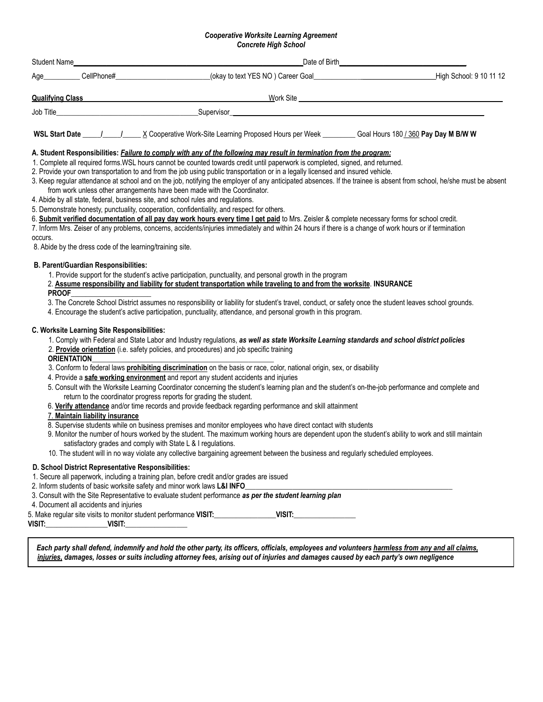## *Cooperative Worksite Learning Agreement*

| <b>Concrete High School</b> |                                                                                |                                                                                                                                                                                                                                                                                                                                                                                                                                                                                                                                                                                                                                                                                                                                                                                                                                                                               |  |                                                                                                                                                                                                                                                                                                                                                                                                                                                         |  |  |  |  |  |
|-----------------------------|--------------------------------------------------------------------------------|-------------------------------------------------------------------------------------------------------------------------------------------------------------------------------------------------------------------------------------------------------------------------------------------------------------------------------------------------------------------------------------------------------------------------------------------------------------------------------------------------------------------------------------------------------------------------------------------------------------------------------------------------------------------------------------------------------------------------------------------------------------------------------------------------------------------------------------------------------------------------------|--|---------------------------------------------------------------------------------------------------------------------------------------------------------------------------------------------------------------------------------------------------------------------------------------------------------------------------------------------------------------------------------------------------------------------------------------------------------|--|--|--|--|--|
| Student Name__              |                                                                                |                                                                                                                                                                                                                                                                                                                                                                                                                                                                                                                                                                                                                                                                                                                                                                                                                                                                               |  |                                                                                                                                                                                                                                                                                                                                                                                                                                                         |  |  |  |  |  |
|                             |                                                                                |                                                                                                                                                                                                                                                                                                                                                                                                                                                                                                                                                                                                                                                                                                                                                                                                                                                                               |  | Age CellPhone# Cellen Cellen Contact Contact Contact Contact Contact Contact Contact Contact Contact Contact Contact Contact Contact Contact Contact Contact Contact Contact Contact Contact Contact Contact Contact Contact C                                                                                                                                                                                                                          |  |  |  |  |  |
|                             |                                                                                |                                                                                                                                                                                                                                                                                                                                                                                                                                                                                                                                                                                                                                                                                                                                                                                                                                                                               |  | <u>Qualifying Class Communication and Communication and Communication and Communication and Communication and Communication and Communication and Communication and Communication and Communication and Communication and Commun</u>                                                                                                                                                                                                                    |  |  |  |  |  |
|                             |                                                                                |                                                                                                                                                                                                                                                                                                                                                                                                                                                                                                                                                                                                                                                                                                                                                                                                                                                                               |  |                                                                                                                                                                                                                                                                                                                                                                                                                                                         |  |  |  |  |  |
|                             |                                                                                |                                                                                                                                                                                                                                                                                                                                                                                                                                                                                                                                                                                                                                                                                                                                                                                                                                                                               |  |                                                                                                                                                                                                                                                                                                                                                                                                                                                         |  |  |  |  |  |
| occurs.                     |                                                                                | A. Student Responsibilities: <i>Failure to comply with any of the following may result in termination from the program:</i><br>1. Complete all required forms.WSL hours cannot be counted towards credit until paperwork is completed, signed, and returned.<br>2. Provide your own transportation to and from the job using public transportation or in a legally licensed and insured vehicle.<br>from work unless other arrangements have been made with the Coordinator.<br>4. Abide by all state, federal, business site, and school rules and regulations.<br>5. Demonstrate honesty, punctuality, cooperation, confidentiality, and respect for others.<br>6. Submit verified documentation of all pay day work hours every time I get paid to Mrs. Zeisler & complete necessary forms for school credit.<br>8. Abide by the dress code of the learning/training site. |  | 3. Keep regular attendance at school and on the job, notifying the employer of any anticipated absences. If the trainee is absent from school, he/she must be absent<br>7. Inform Mrs. Zeiser of any problems, concerns, accidents/injuries immediately and within 24 hours if there is a change of work hours or if termination                                                                                                                        |  |  |  |  |  |
| <b>PROOF</b>                | <b>B. Parent/Guardian Responsibilities:</b>                                    | 1. Provide support for the student's active participation, punctuality, and personal growth in the program<br>2. Assume responsibility and liability for student transportation while traveling to and from the worksite. INSURANCE<br>4. Encourage the student's active participation, punctuality, attendance, and personal growth in this program.                                                                                                                                                                                                                                                                                                                                                                                                                                                                                                                         |  | 3. The Concrete School District assumes no responsibility or liability for student's travel, conduct, or safety once the student leaves school grounds.                                                                                                                                                                                                                                                                                                 |  |  |  |  |  |
| <b>ORIENTATION</b>          | C. Worksite Learning Site Responsibilities:<br>7. Maintain liability insurance | 2. Provide orientation (i.e. safety policies, and procedures) and job specific training<br>3. Conform to federal laws <b>prohibiting discrimination</b> on the basis or race, color, national origin, sex, or disability<br>4. Provide a safe working environment and report any student accidents and injuries<br>return to the coordinator progress reports for grading the student.<br>6. Verify attendance and/or time records and provide feedback regarding performance and skill attainment<br>8. Supervise students while on business premises and monitor employees who have direct contact with students<br>satisfactory grades and comply with State L & I regulations.<br>10. The student will in no way violate any collective bargaining agreement between the business and regularly scheduled employees.                                                      |  | 1. Comply with Federal and State Labor and Industry regulations, as well as state Worksite Learning standards and school district policies<br>5. Consult with the Worksite Learning Coordinator concerning the student's learning plan and the student's on-the-job performance and complete and<br>9. Monitor the number of hours worked by the student. The maximum working hours are dependent upon the student's ability to work and still maintain |  |  |  |  |  |
|                             | 4. Document all accidents and injuries<br>VISIT: VISIT: VISIT:                 | D. School District Representative Responsibilities:<br>1. Secure all paperwork, including a training plan, before credit and/or grades are issued<br>2. Inform students of basic worksite safety and minor work laws L&I INFO_<br>3. Consult with the Site Representative to evaluate student performance as per the student learning plan<br>5. Make regular site visits to monitor student performance VISIT: VISIT: VISIT: VISIT:                                                                                                                                                                                                                                                                                                                                                                                                                                          |  |                                                                                                                                                                                                                                                                                                                                                                                                                                                         |  |  |  |  |  |
|                             |                                                                                | injuries, damages, losses or suits including attorney fees, arising out of injuries and damages caused by each party's own negligence                                                                                                                                                                                                                                                                                                                                                                                                                                                                                                                                                                                                                                                                                                                                         |  | Each party shall defend, indemnify and hold the other party, its officers, officials, employees and volunteers harmless from any and all claims,                                                                                                                                                                                                                                                                                                        |  |  |  |  |  |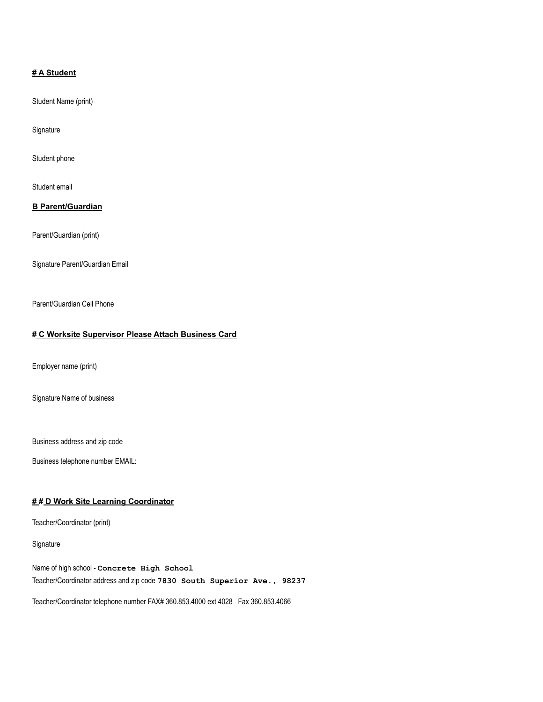#### **# A Student**

Student Name (print)

Signature

Student phone

Student email

#### **B Parent/Guardian**

Parent/Guardian (print)

Signature Parent/Guardian Email

Parent/Guardian Cell Phone

#### **# C Worksite Supervisor Please Attach Business Card**

Employer name (print)

Signature Name of business

Business address and zip code

Business telephone number EMAIL:

#### **# # D Work Site Learning Coordinator**

Teacher/Coordinator (print)

Signature

Name of high school - **Concrete High School** Teacher/Coordinator address and zip code **7830 South Superior Ave., 98237**

Teacher/Coordinator telephone number FAX# 360.853.4000 ext 4028 Fax 360.853.4066